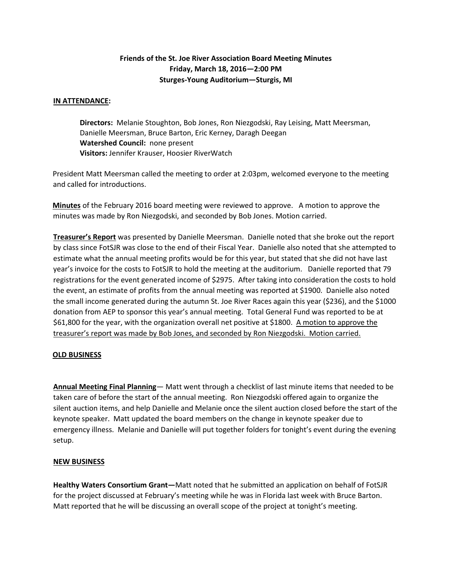# **Friends of the St. Joe River Association Board Meeting Minutes Friday, March 18, 2016—2:00 PM Sturges-Young Auditorium—Sturgis, MI**

## **IN ATTENDANCE:**

**Directors:** Melanie Stoughton, Bob Jones, Ron Niezgodski, Ray Leising, Matt Meersman, Danielle Meersman, Bruce Barton, Eric Kerney, Daragh Deegan **Watershed Council:** none present **Visitors:** Jennifer Krauser, Hoosier RiverWatch

President Matt Meersman called the meeting to order at 2:03pm, welcomed everyone to the meeting and called for introductions.

**Minutes** of the February 2016 board meeting were reviewed to approve. A motion to approve the minutes was made by Ron Niezgodski, and seconded by Bob Jones. Motion carried.

**Treasurer's Report** was presented by Danielle Meersman. Danielle noted that she broke out the report by class since FotSJR was close to the end of their Fiscal Year. Danielle also noted that she attempted to estimate what the annual meeting profits would be for this year, but stated that she did not have last year's invoice for the costs to FotSJR to hold the meeting at the auditorium. Danielle reported that 79 registrations for the event generated income of \$2975. After taking into consideration the costs to hold the event, an estimate of profits from the annual meeting was reported at \$1900. Danielle also noted the small income generated during the autumn St. Joe River Races again this year (\$236), and the \$1000 donation from AEP to sponsor this year's annual meeting. Total General Fund was reported to be at \$61,800 for the year, with the organization overall net positive at \$1800. A motion to approve the treasurer's report was made by Bob Jones, and seconded by Ron Niezgodski. Motion carried.

### **OLD BUSINESS**

**Annual Meeting Final Planning**— Matt went through a checklist of last minute items that needed to be taken care of before the start of the annual meeting. Ron Niezgodski offered again to organize the silent auction items, and help Danielle and Melanie once the silent auction closed before the start of the keynote speaker. Matt updated the board members on the change in keynote speaker due to emergency illness. Melanie and Danielle will put together folders for tonight's event during the evening setup.

### **NEW BUSINESS**

**Healthy Waters Consortium Grant—**Matt noted that he submitted an application on behalf of FotSJR for the project discussed at February's meeting while he was in Florida last week with Bruce Barton. Matt reported that he will be discussing an overall scope of the project at tonight's meeting.